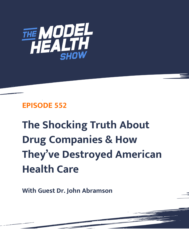

## **EPISODE 552**

# **The Shocking Truth About Drug Companies & How They've Destroyed American Health Care**

**With Guest Dr. John Abramson**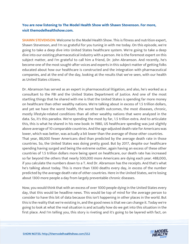### **You are now listening to The Model Health Show with Shawn Stevenson. For more, visit themodelhealthshow.com.**

**SHAWN STEVENSON:** Welcome to the Model Health Show. This is fitness and nutrition expert, Shawn Stevenson, and I'm so grateful for you tuning in with me today. On this episode, we're going to take a deep dive into United States healthcare system. We're going to take a deep dive into our existing pharmaceutical industry with a person. He is the foremost expert on this subject matter, and I'm grateful to call him a friend, Dr. John Abramson. And recently, he's become one of the most sought-after voices and experts in this subject matter of getting folks educated about how our healthcare is constructed and the integration with pharmaceutical companies, and at the end of the day, looking at the results that we've seen, with our health as United States citizens.

Dr. Abramson has served as an expert in pharmaceutical litigation, and also, he's worked as a consultant to the FBI and the United States Department of Justice. And one of the most startling things that he shared with me is that the United States is spending far more money on healthcare than other wealthy nations. We're talking about in excess of 1.5 trillion dollars, and yet we have the worst health, the worst health outcomes, the most diseases, chronic, mostly lifestyle-related conditions than all other wealthy nations that were analyzed in the data. So, it's this paradox. We're spending the most by far, 1.5 trillion extra. And to articulate this, this is what he shared in his new book: In 1980, US healthcare spending was just slightly above average of 10 comparable countries. And the age-adjusted death rate for Americans was lower, which was better, was actually a bit lower than the average of those other countries. That year, 88,000 fewer Americans died than predicted by the average death rate in those countries. So, the United States was doing pretty good. But by 2017, despite our healthcare spending having surged and being the extreme outlier, again having an excess of these other countries of 1.5 trillion dollars more being spent on healthcare, our death rate has increased so far beyond the others that nearly 500,000 more Americans are dying each year. 488,000, if you calculate the numbers down to a T. And Dr. Abramson has the receipts. And that's what he's talking about today. This is more than 1300 deaths every day, in excess of the number predicted by the average death rate of other countries. Here in the United States, we're losing about 1300 more people a day from largely preventable chronic diseases.

Now, you would think that with an excess of over 1000 people dying in the United States every day, that this would be headline news. This would be top of mind for the average person to consider to have this bit of data because this isn't happening in other places in the world. But this is the reality that we're existing in, and the good news is that we can change it. Today we're going to look at what the real situation is and actually how do we get into this situation in the first place. And I'm telling you, this story is riveting and it's going to be layered with fact, on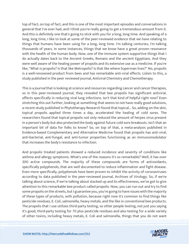top of fact, on top of fact, and this is one of the most important episodes and conversations in general that I've ever had, and I think you're really going to get a tremendous amount from it. And this is definitely one that's going to stick with you for a long, long time. And speaking of a long, long time, I like to look at some of the peer-reviewed evidence that we have relating to things that humans have been using for a long, long time. I'm talking centuries, I'm talking thousands of years. In some instances, things that we know have a great proven resonance with the health of the human body. Now, one of the immune system supportive things that I do actually dates back to the Ancient Greeks, Romans and the ancient Egyptians. And they were well aware of the healing power of propolis and its extensive use as a medicine. If you're like, "What is propolis? Is that like Metropolis? Is that like where Superman lives?" No, propolis is a well-renowned product from bees and has remarkable anti-viral effects. Listen to this, a study published in the peer reviewed journal, Antiviral Chemistry and Chemotherapy.

This is a journal that is looking at science and resources regarding cancer and cancer therapies, so in this peer-reviewed journal, they revealed that bee propolis has significant antiviral, effects specifically in reducing viral lung infections. Isn't that kind of helpful right now? Even stretching this out further, looking at something that seems to not have really good solutions, a recent study published in Phytotherapy Research found that topical... So, adding on the skin, topical propolis applied three times a day, accelerated the healing of cold sores. The researchers found that topical propolis not only reduced the amount of herpes virus present in a person's body but also protected the body against future cold sore breakouts. Isn't that an important bit of data for folks to know? So, on top of that, a meta-analysis published in Evidence-based Complementary and Alternative Medicine found that propolis has anti-viral, anti-bacterial, anti-fungal, and anti-tumor properties functioning as an immunomodulator that increases the body's resistance to infection.

And propolis treated patients showed a reduced incidence and severity of conditions like asthma and allergy symptoms. What's one of the reasons it's so remarkable? Well, it has over 300 active compounds. The majority of these compounds are forms of antioxidants, specifically polyphenols, that are well documented to reduce inflammation and fight disease. Even more specifically, polyphenols have been proven to inhibit the activity of coronaviruses according to data published in the peer-reviewed journal, Archives of Virology. So, if we're talking about science, if we're talking about stacked up and its effectiveness, we've got to give attention to this remarkable bee product called propolis. Now, you can run out and try to find some propolis on the streets, but I guarantee you, you're going to have issues with the majority of these types of products, with pollution, because right now it's common to find things like pesticide residues, E. Coli, salmonella, heavy metals, and the like in conventional bee products. The propolis that I use utilizes third-party testing, so other people testing, not just you saying it's good, third-party testing for 70 plus pesticide residues and also testing for a wide variety of other toxins, including heavy metals, E. Coli and salmonella, things that you do not want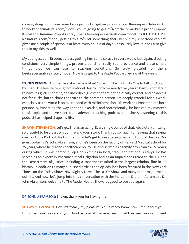coming along with these remarkable products. I get my propolis from Beekeepers Naturals. Go to beekeepersnaturals.com/model, you're going to get 25% off the remarkable propolis spray. It's called B Immune Propolis spray. That's beekeepersnaturals.com/model. It's B-E-E-K-E-E-P-E-R-Snaturals.com/model, getting this 25% off something that I keep in my superfood cabinet, gives me a couple of sprays in at least every couple of days. I absolutely love it, and I also give this to my kids as well.

My youngest son, Braden, at least getting him some sprays in every week. Just again, stacking conditions, very simple things, proven a bunch of really sound evidence and these simple things that we can use to stacking conditions. So truly grateful for them, beekeepersnaturals.com/model. Now let's get to the Apple Podcast review of the week.

**ITUNES REVIEW:** Another five-star review titled "Sharing The Truth No One Is Talking About" by Chad. "I've been listening to the Model Health Show for nearly five years. Shawn is not afraid to have insightful content, and incredible guests that are not politically correct, and he does it not for clicks, but to share the truth to the common person. I'm deeply grateful for his work, especially as the world is so overloaded with misinformation. His work has impacted me both personally, impacting the way I eat and exercise, and professionally, he inspired my master's thesis topic, and I have started a leadership coaching podcast in business. Listening to this podcast has helped shape my life."

**SHAWN STEVENSON:** Let's go. That is amazing. Every single ounce of that. Absolutely amazing, so grateful to be a part of your life and your story. Thank you so much for leaving that review over on Apple Podcast. And on that note, let's get to our special guest and topic of the day. Our guest today is Dr. John Abramson, and he's been on the faculty of Harvard Medical School for 25 years, where he teaches healthcare policy. He also served as a family physician for 22 years, during which he was named a Top Doc six times in local, state, and national surveys. He has served as an expert in Pharmaceutical Litigation and as an unpaid consultant to the FBI and the Department of Justice, including a case that resulted in the largest criminal fine in US history. In addition to many published articles and op-eds, he's been featured in the New York Times, on the Today Show, NBC Nightly News, The Dr. Oz Show, and many other major media outlets. And now, let's jump into this conversation with the incredible Dr. John Abramson. Dr. John Abramson, welcome to The Model Health Show, it's good to see you again.

DR. JOHN ABRAMSON: Shawn, thank you for having me.

SHAWN STEVENSON: Hey, it's totally my pleasure. You already know how I feel about you. I think that your work and your book is one of the most insightful treatises on our current

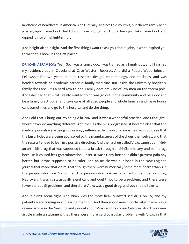landscape of healthcare in America. And I literally, and I've told you this, but there's rarely been a paragraph in your book that I do not have highlighted. I could have just taken your book and dipped it into a highlighter fluid.

Just insight after insight. And the first thing I want to ask you about, John, is what inspired you to write this book in the first place?

DR. JOHN ABRAMSON: Yeah. So, I was a family doc, I was trained as a family doc, and I finished my residency out in Cleveland at Case Western Reserve. And did a Robert Wood Johnson Fellowship for two years, studied research design, epidemiology, and statistics, and was headed towards an academic career in family medicine. But inside the university hospitals, family docs are... It's a hard row to hoe. Family docs are kind of low men on the totem pole. And I decided that what I really wanted to do was go out in the community and be a doc and be a family practitioner and take care of all aged people and whole families and make house calls sometimes and go to the hospital and do the thing.

And I did that, I hung out my shingle in 1982, and it was a wonderful practice. And I thought I would never do anything different. And then as the '90s progressed, it became clear that the medical journals were being increasingly influenced by the drug companies. You could see that the big articles were being sponsored by the manufacturers of the drugs themselves, and that the results tended to lean in a positive direction. And then a drug called Vioxx came out in 1999, an arthritis drug that was supposed to be a break-through anti-inflammatory and pain drug, because it caused less gastrointestinal upset. It wasn't any better, it didn't prevent pain any better, but it was supposed to be safer. And an article was published in the New England Journal that made that claim, that though there were numerically some more heart attacks in the people who took Vioxx than the people who took an older anti-inflammatory drug, Naproxen. It wasn't statistically significant and ought not to be a problem, and there were fewer serious GI problems, and therefore Vioxx was a good drug, and you should take it.

And it didn't seem right. And Vioxx was the most heavily advertised drug on TV, and my patients were coming in and asking me for it. And then about nine months later, there was a review article in the New England journal about Vioxx and its cousin Celebrex. And the review article made a statement that there were more cardiovascular problems with Vioxx in that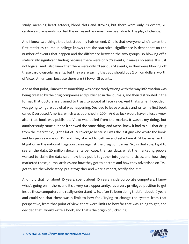study, meaning heart attacks, blood clots and strokes, but there were only 70 events, 70 cardiovascular events, so that the increased risk may have been due to the play of chance.

And I knew two things that just stood my hair on end. One is that everyone who's taken the first statistics course in college knows that the statistical significance is dependent on the number of events that happen and the difference between the two groups, so blowing off a statistically significant finding because there were only 70 events, it makes no sense. It's just not logical. And I also knew that there were only 53 serious GI events, so they were blowing off these cardiovascular events, but they were saying that you should buy 2 billion dollars' worth of Vioxx, Americans, because there are 53 fewer GI events.

And at that point, I knew that something was desperately wrong with the way information was being created by the drug companies and published in the journals, and then distributed in the format that doctors are trained to trust, to accept at face value. And that's when I decided I was going to figure out what was happening. Decided to leave practice and write my first book called Overdosed America, which was published in 2004. And as luck would have it. Just a week after that book was published, Vioxx was pulled from the market. It wasn't my doing, but another study came out and it showed the same thing, and Merck knew it had to pull that drug from the market. So, I got a lot of TV coverage because I was the last guy who wrote the book, and lawyers saw me on TV, and they started to call me and asked me if I'd be an expert in litigation in the national litigation cases against the drug companies. So, in that role, I got to see all the data, 20 million documents per case, the raw data, what the marketing people wanted to claim the data said, how they put it together into journal articles, and how they marketed those journal articles and how they got to doctors and how they advertised on TV. I got to see the whole story, put it together and write a report, testify about it.

And I did that for about 10 years, spent about 10 years inside corporate computers. I know what's going on in there, and it's a very rare opportunity. It's a very privileged position to get inside those computers and really understand it. So, after I'd been doing that for about 10 years and could see that there was a limit to how far... Trying to change the system from that perspective, from that point of view, there were limits to how far that was going to get, and decided that I would write a book, and that's the origin of Sickening.

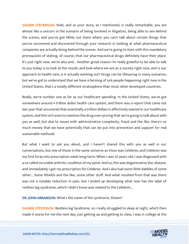SHAWN STEVENSON: Yeah, and so your story, as I mentioned, is really remarkable, you are almost like a unicorn in the scenario of being involved in litigation, being able to see behind the scenes, and you've got NDAs out there where you can't talk about certain things that you've uncovered and discovered through your research in looking at what pharmaceutical companies are actually doing behind the scenes. And we're going to start with this mandatory prerequisite of stating, of course, that our pharmaceutical drugs definitely have their place. It's just right now, we've also and... Another great reason I'm really grateful to be able to talk to you today is to look at the results and look where we are as a society right now, and is our approach to health care, is it actually working out? Drugs can be lifesaving in many scenarios, but we've got to understand that we have a farming of sick people happening right now in the United States, that's a totally different stratosphere than most other developed countries.

Really, we're number one as far as our healthcare spending. In the United States, we've got somewhere around 4 trillion dollar health care system, and there was a report that came out last year that uncovered that essentially a trillion dollars is effectively wasted in our healthcare system, and this isn't even to mention the drug over-pricing that we're going to talk about with you as well, but due to issues with administrative complexity, fraud and the like, there's so much money that we have potentially that can be put into prevention and support for real sustainable methods.

But what I want to ask you about, and I haven't shared this with you as well in our conversations, but one of those in the same universe as Vioxx was Celebrex, and Celebrex was my first foray into prescription meds long-term. When I was 20 years old, I was diagnosed with a so-called incurable arthritic condition of my spine. And so, this was degenerative disc disease, and immediately I got my prescription for Celebrex. And I also had some little dabbles of some other... Some NSAIDs and the like, some other stuff. And what resulted from that was there was not a notable reduction in pain, but I ended up developing what now has the label of restless leg syndrome, which I didn't know was related to the Celebrex...

DR. JOHN ABRAMSON: What's the name of the syndrome, Shawn?

**SHAWN STEVENSON:** Restless leg Syndrome, so I really struggled to sleep at night, which then made it worse for me the next day, just getting up and getting to class, I was in college at the

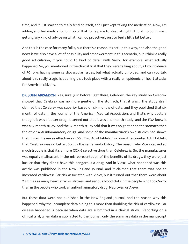time, and it just started to really feed on itself, and I just kept taking the medication. Now, I'm adding another medication on top of that to help me to sleep at night. And at no point was I getting any kind of advice on what I can do proactively just to feel a little bit better.

And this is the case for many folks, but there's a reason it's set up this way, and also the good news is we also have a lot of possibility and empowerment in this scenario, but I think a really good articulation, if you could to kind of detail with Vioxx, for example, what actually happened. So, you mentioned in the clinical trial that they were talking about, a tiny incidence of 70 folks having some cardiovascular issues, but what actually unfolded, and can you talk about this really tragic happening that took place with a really an epidemic of heart attacks for American citizens.

DR. JOHN ABRAMSON: Yes, sure. Just before I get there, Celebrex, the key study on Celebrex showed that Celebrex was no more gentle on the stomach, that it was... The study itself claimed that Celebrex was superior based on six months of data, and they published that six month of data in the Journal of the American Medical Association, and that's why doctors thought it was a better drug. It turned out that it was a 12-month study, and the FDA knew it was a 12-month study. And the 12-month study said that it was no gentler on the stomach than the other anti-inflammatory drugs. And some of the manufacturer's own studies had shown that it wasn't even as effective as 400... Two Advil tablets, two over-the-counter Advil tablets, that Celebrex was no better. So, it's the same kind of story. The reason why Vioxx caused so much trouble is that it's a more COX-2 selective drug than Celebrex is. So, the manufacturer was equally malfeasant in the misrepresentation of the benefits of its drugs, they were just luckier that they didn't have this dangerous a drug. And in Vioxx, what happened was this article was published in the New England Journal, and it claimed that there was not an increased cardiovascular risk associated with Vioxx, but it turned out that there were about 2.4 times as many heart attacks, strokes, and serious blood clots in the people who took Vioxx than in the people who took an anti-inflammatory drug, Naproxen or Aleve.

But these data were not published in the New England Journal, and the reason why this happened, why the incomplete data hiding this more than doubling the risk of cardiovascular disease happened is because when data are submitted in a clinical study... Reporting on a clinical trial, when data is submitted to the journal, only the summary data in the manuscript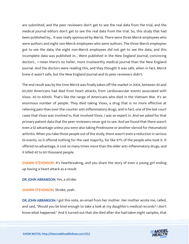are submitted, and the peer reviewers don't get to see the real data from the trial, and the medical journal editors don't get to see the real data from the trial. So, this study that had been published by... It was really sponsored by Merck. There were three Merck employees who were authors and eight non-Merck employees who were authors. The three Merck employees got to see the data, the eight non-Merck employees did not get to see the data, and this incomplete data was published in... Were published in the New England Journal, convincing doctors... I mean there's no holier, more trustworthy medical journal than the New England Journal. And the doctors were reading this, and they thought it was safe, when in fact, Merck knew it wasn't safe, but the New England Journal and its peer reviewers didn't.

The end result was by the time Merck was finally taken off the market in 2004, between 40 and 60,000 Americans had died from heart attacks, from cardiovascular events associated with Vioxx. 40 to 60000. That's like the range of Americans who died in the Vietnam War. It's an enormous number of people. They died taking Vioxx, a drug that is no more effective at relieving pain than over-the-counter anti-inflammatory drugs, and in fact, one of the last court cases that Vioxx was involved in, that involved Vioxx, I was an expert in. And we asked for that primary patient data that the peer reviewers never got to see. And we found that there wasn't even a GI advantage unless you were also taking Prednisone or another steroid for rheumatoid arthritis. When you take those people out of the study, there wasn't even a reduction in serious GI events, so it offered nothing for the vast majority, for like 97% of the people who took it. It offered no advantage, it cost so many times more than the older anti-inflammatory drugs, and it killed 40 to 60 thousand people.

SHAWN STEVENSON: It's heartbreaking, and you share the story of even a young girl ending up having a heart attack as a result.

DR. JOHN ABRAMSON: Yes, a stroke.

SHAWN STEVENSON: Stroke, yeah.

DR. JOHN ABRAMSON: I got this note, an email from her mother. Her mother wrote me, called, and said, "Would you be kind enough to take a look at my daughter's medical records? I don't know what happened." And it turned out that she died after she had taken eight samples, that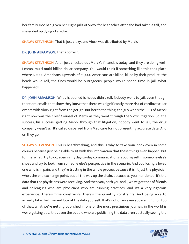her family Doc had given her eight pills of Vioxx for headaches after she had taken a fall, and she ended up dying of stroke.

SHAWN STEVENSON: That is just crazy, and Vioxx was distributed by Merck.

DR. JOHN ABRAMSON: That's correct.

SHAWN STEVENSON: And I just checked out Merck's financials today, and they are doing well. I mean, multi-multi-billion-dollar company. You would think if something like this took place where 60,000 Americans, upwards of 60,000 Americans are killed, killed by their product, the heads would roll, the fines would be outrageous, people would spend time in jail. What happened?

DR. JOHN ABRAMSON: What happened is heads didn't roll. Nobody went to jail, even though there are emails that show they knew that there was significantly more risk of cardiovascular events with Vioxx right from the get-go. But here's the thing, the guy who's the CEO of Merck right now was the Chief Counsel of Merck as they went through the Vioxx litigation. So, the success, his success, getting Merck through that litigation, nobody went to jail, the drug company wasn't a... It's called disbarred from Medicare for not presenting accurate data. And on they go.

**SHAWN STEVENSON:** This is heartbreaking, and this is why to take your book even in some chunks because just being able to sit with this information that these things even happen. But for me, what I try to do, even in my day-to-day communications is put myself in someone else's shoes and try to look from someone else's perspective in the scenario. And you losing a loved one who is in pain, and they're trusting in the whole process because it isn't just the physician who's the end exchange point, but all the way up the chain, because as you mentioned, it's the data that the physicians were receiving. And then you, both you and I, we've got tons of friends and colleagues who are physicians who are running practices, and it's a very rigorous experience. There's time constraints, there's the quantity constraints. And being able to actually take the time and look at the data yourself, that's not often even apparent. But on top of that, what we're getting published in one of the most prestigious journals in the world is we're getting data that even the people who are publishing the data aren't actually seeing the

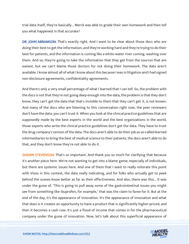trial data itself, they're basically... Merck was able to grade their own homework and then tell you what happened. Is that accurate?

DR. JOHN ABRAMSON: That's exactly right. And I want to be clear about those docs who are doing their best to get the information, and they're working hard and they're trying to do their best for patients, and the information is coming like a white-water river coming, washing over them. And so, they're going to take the information that they get from the sources that are easiest, but we can't blame those doctors for not doing their homework. The data aren't available. I know almost all of what I know about this because I was in litigation and I had signed non-disclosure agreements, confidentiality agreements.

And there's only a very small percentage of what I learned that I can tell. So, the problem with the docs is not that they're not going deep enough into the data, the problem is that they don't know, they can't get the data that that's invisible to them that they can't get it, is not known. And many of the docs who are listening to this conversation right now, the peer reviewers don't have the data, you can't trust it. When you look at the clinical practice guidelines that are supposedly made by the best experts in the world and the best organizations in the world, those experts who write the clinical practice guidelines don't get the data. They have to trust the drug company's version of the data. The docs aren't able to do their job as so-called learned intermediaries to bring the best of medical science to their patients, the docs aren't able to do that, and they don't know they're not able to do it.

**SHAWN STEVENSON:** That's so important. And thank you so much for clarifying that because it's another piece here. We're not wanting to get into a blame game, especially of individuals, but there are systemic issues here. And one of them that I want to really reiterate this point with Vioxx in this context, the data really indicating, and for folks who actually get to peek behind the scenes know better as far as their effectiveness. And also, there was this... It was under the guise of, "This is going to pull away some of the gastrointestinal issues you might see from something like ibuprofen, for example," that was the claim to fame for it. But at the end of the day, it's the appearance of innovation. It's the appearance of innovation and what that does is it creates an opportunity to have a product that is significantly higher-priced, and then it becomes a cash cow. It's just a flood of income that comes in for the pharmaceutical company under the guise of innovation. Now, let's talk about this superficial appearance of

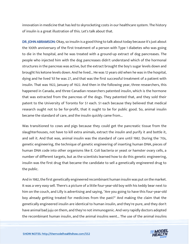innovation in medicine that has led to skyrocketing costs in our healthcare system. The history of insulin is a great illustration of this. Let's talk about that.

DR. JOHN ABRAMSON: Okay, so insulin is a good thing to talk about today because it's just about the 100th anniversary of the first treatment of a person with Type 1 diabetes who was going to die in the hospital, and he was treated with a ground-up extract of dog pancreases. The people who injected him with the dog pancreases didn't understand which of the hormonal structures in the pancreas was active, but the extract brought the boy's sugar levels down and brought his ketone levels down. And he lived... He was 12 years old when he was in the hospital, dying and he lived 'til he was 27, and that was the first successful treatment of a patient with insulin. That was 1922, January of 1922. And then in the following year, three researchers, this happened in Canada, and three Canadian researchers patented insulin, which is the hormone that was extracted from the pancreas of the dogs. They patented that, and they sold their patent to the University of Toronto for \$1 each. \$1 each because they believed that medical research ought not to be for-profit, that it ought to be for public good. So, animal insulin became the standard of care, and the insulin quickly came from...

Was transitioned to cows and pigs because they could get the pancreatic tissue from the slaughterhouses, not have to kill extra animals, extract the insulin and purify it and bottle it, and sell it. And that was, animal insulin was the standard of care until 1982. During the '70s, genetic engineering, the technique of genetic engineering of inserting human DNA, pieces of human DNA code into other organisms like E. Coli bacteria or yeast or hamster ovary cells, a number of different targets, but as the scientists learned how to do this genetic engineering, insulin was the first drug that became the candidate to sell a genetically engineered drug to the public.

And in 1982, the first genetically engineered recombinant human insulin was put on the market. It was a very easy sell. There's a picture of a little four-year-old boy with his teddy bear next to him on the couch, and Lilly is advertising and saying, "Are you going to have this four-year-old boy already getting treated for medicines from the past?" And making the claim that the genetically engineered insulin are identical to human insulin, and they're pure, and they don't have animal bad juju on them, and they're not immunogenic. And very rapidly doctors adopted the recombinant human insulin, and the animal insulins went... The use of the animal insulins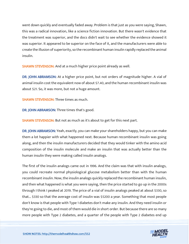went down quickly and eventually faded away. Problem is that just as you were saying, Shawn, this was a radical innovation, like a science fiction innovation. But there wasn't evidence that the treatment was superior, and the docs didn't wait to see whether the evidence showed it was superior. It appeared to be superior on the face of it, and the manufacturers were able to create the illusion of superiority, so the recombinant human insulin rapidly replaced the animal insulin.

**SHAWN STEVENSON:** And at a much higher price point already as well.

DR. JOHN ABRAMSON: At a higher price point, but not orders of magnitude higher. A vial of animal insulin cost the equivalent now of about \$7.40, and the human recombinant insulin was about \$21. So, it was more, but not a huge amount.

SHAWN STEVENSON: Three times as much.

DR. JOHN ABRAMSON: Three times that's good.

SHAWN STEVENSON: But not as much as it's about to get for this next part.

DR. JOHN ABRAMSON: Yeah, exactly, you can make your shareholders happy, but you can make them a lot happier with what happened next. Because human recombinant insulin was going along, and then the insulin manufacturers decided that they would tinker with the amino acid composition of the insulin molecule and make an insulin that was actually better than the human insulin they were making called insulin analogs.

The first of the insulin analogs came out in 1996. And the claim was that with insulin analogs, you could recreate normal physiological glucose metabolism better than with the human recombinant insulin. Now, the insulin analogs quickly replaced the recombinant human insulin, and then what happened is what you were saying, then the price started to go up in the 2000s through I think I peaked at 2019. The price of a vial of insulin analogs peaked at about \$330, so that... \$330 so that the average cost of insulin was \$5200 a year. Something that most people don't know is that people with Type 1 diabetes don't make any insulin. And they need insulin or they're going to die, and most of them would die in short order. But because there are so many more people with Type 2 diabetes, and a quarter of the people with Type 2 diabetes end up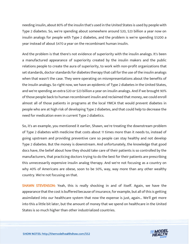needing insulin, about 80% of the insulin that's used in the United States is used by people with Type 2 diabetes. So, we're spending about somewhere around \$20, \$23 billion a year now on insulin analogs for people with Type 2 diabetes, and the problem is we're spending \$5200 a year instead of about \$470 a year on the recombinant human insulin.

And the problem is that there's not evidence of superiority with the insulin analogs. It's been a manufactured appearance of superiority created by the insulin makers and the public relations people to create the aura of superiority, to work with non-profit organizations that set standards, doctor standards for diabetes therapy that call for the use of the insulin analogs when that wasn't the case. They were operating on misrepresentations about the benefits of the insulin analogs. So right now, we have an epidemic of Type 2 diabetes in the United States, and we're spending an extra \$20 or \$23 billion a year on insulin analogs. And if we brought 90% of those people back to human recombinant insulin and reclaimed that money, we could enroll almost all of those patients in programs at the local YMCA that would prevent diabetes in people who are at high risk of developing Type 2 diabetes, and that could help to decrease the need for medication even in current Type 2 diabetics.

So, it's an example, you mentioned it earlier, Shawn, we're treating the downstream problem of Type 2 diabetes with medicine that costs about 11 times more than it needs to, instead of going upstream and providing preventive care so people can stay healthy and not develop Type 2 diabetes. But the money is downstream. And unfortunately, the knowledge that good docs have, the belief about how they should take care of their patients is so controlled by the manufacturers, that practicing doctors trying to do the best for their patients are prescribing this unnecessarily expensive insulin analog therapy. And we're not focusing as a country on why 40% of Americans are obese, soon to be 50%, way, way more than any other wealthy country. We're not focusing on that.

**SHAWN STEVENSON:** Yeah, this is really shocking in and of itself. Again, we have the appearance that the cost is buffered because of insurance, for example, but all of this is getting assimilated into our healthcare system that now the expense is just, again... We'll get more into this a little bit later, but the amount of money that we spend on healthcare in the United States is so much higher than other industrialized countries.

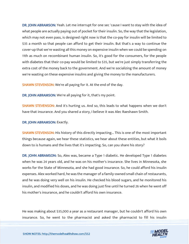DR. JOHN ABRAMSON: Yeah. Let me interrupt for one sec 'cause I want to stay with the idea of what people are actually paying out of pocket for their insulin. So, the way that the legislation, which may not even pass, is designed right now is that the co-pay for insulin will be limited to \$35 a month so that people can afford to get their insulin. But that's a way to continue the cover-up that we're wasting all this money on expensive insulin when we could be spending on 11th as much on recombinant human insulin. So, it's good for the consumers, for the people with diabetes that their co-pay would be limited to \$35, but we're just simply transferring the extra cost of the money back to the government. And we're socializing the amount of money we're wasting on these expensive insulins and giving the money to the manufacturers.

SHAWN STEVENSON: We're all paying for it. At the end of the day.

DR. JOHN ABRAMSON: We're all paying for it, that's my point.

SHAWN STEVENSON: And it's hurting us. And so, this leads to what happens when we don't have that insurance. And you shared a story, I believe it was Alec Raeshawn Smith.

DR. JOHN ABRAMSON: Exactly.

**SHAWN STEVENSON:** His history of this directly impacting... This is one of the most important things because again, we hear these statistics, we hear about these entities, but what it boils down to is humans and the lives that it's impacting. So, can you share his story?

DR. JOHN ABRAMSON: So, Alex was, became a Type 1 diabetic. He developed Type 1 diabetes when he was 24 years old, and he was on his mother's insurance. She lives in Minnesota, she works for the State of Minnesota, and she had good insurance. So, he could afford his insulin expenses. Alex worked hard, he was the manager of a family-owned small chain of restaurants, and he was doing very well on his insulin. He checked his blood sugars, and he monitored his insulin, and modified his doses, and he was doing just fine until he turned 26 when he went off his mother's insurance, and he couldn't afford his own insurance.

He was making about \$35,000 a year as a restaurant manager, but he couldn't afford his own [insurance. So, he went to the pharmacist and asked the pharmacist to fill his insulin](https://themodelhealthshow.com/podcasts/dr-john-abramson/) 

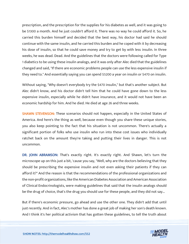prescription, and the prescription for the supplies for his diabetes as well, and it was going to be \$1300 a month. And he just couldn't afford it. There was no way he could afford it. So, he carried this burden himself and decided that the best way, his doctor had said he should continue with the same insulin, and he carried this burden and he coped with it by decreasing his dose of insulin, so that he could save money and try to get by with less insulin. In three weeks, he was dead. Dead. And the guidelines that the doctors were following called for Type 1 diabetics to be using these insulin analogs, and it was only after Alec died that the guidelines changed and said, "If there are economic problems people can use the less expensive insulin if they need to." And essentially saying you can spend \$5200 a year on insulin or \$470 on insulin.

Without saying, "Why doesn't everybody try the \$470 insulin," but that's another subject. But Alec didn't know, and his doctor didn't tell him that he could have gone down to the less expensive insulin, especially while he didn't have insurance, and it would not have been an economic hardship for him. And he died. He died at age 26 and three weeks.

SHAWN STEVENSON: These scenarios should not happen, especially in the United States of America. And here's the thing as well, because even though you share these unique stories, you also keep pointing to the fact that his situation is not uncommon. There's actually a significant portion of folks who use insulin who run into these cost issues who individually ratchet back on the amount they're taking and putting their lives in danger. This is not uncommon.

DR. JOHN ABRAMSON: That's exactly right. It's exactly right. And Shawn, let's turn the microscope up on this just a bit, 'cause you say, "Well, why are the doctors believing that they should be prescribing the expensive insulin and not even asking their patients if they can afford it?" And the reason is that the recommendations of the professional organizations and the non-profit organizations, like the American Diabetes Association and American Association of Clinical Endocrinologists, were making guidelines that said that the insulin analogs should be the drug of choice, that's the drug you should use for these people, and they did not say...

But if there's economic pressure, go ahead and use the other one. They didn't add that until just recently. And in fact, Alec's mother has done a great job of making her son's death known. And I think it's her political activism that has gotten these guidelines, to tell the truth about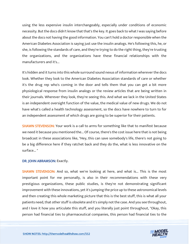using the less expensive insulin interchangeably, especially under conditions of economic necessity. But the docs didn't know that that's the key. It goes back to what I was saying before about the docs not having the good information. You can't hold a doctor responsible when the American Diabetes Association is saying just use the insulin analogs. He's following this, he, or she, is following the standards of care, and they're trying to do the right thing, they're trusting the organizations, and the organizations have these financial relationships with the manufacturers and it's...

It's hidden and it turns into this whole surround sound nexus of information wherever the docs look. Whether they look to the American Diabetes Association standards of care or whether it's the drug rep who's coming in the door and tells them that you can get a bit more physiological response from insulin analogs or the review articles that are being written in their journals. Wherever they look, they're seeing this. And what we lack in the United States is an independent oversight function of the value, the medical value of new drugs. We do not have what's called a health technology assessment, so the docs have nowhere to turn to for an independent assessment of which drugs are going to be superior for their patients.

**SHAWN STEVENSON:** Your work is a call to arms for something like that to manifest because we need it because you mentioned the... Of course, there's the cost issue here that is not being broadcast in these associations like, "Hey, this can save somebody's life, there's not going to be a big difference here if they ratchet back and they do the, what is less innovative on the surface... "

#### DR. JOHN ABRAMSON: Exactly.

**SHAWN STEVENSON:** And so, what we're looking at here, and what is... This is the most important point for me personally, is also in their recommendations with these very prestigious organizations, these public studies, is they're not demonstrating significant improvement with these innovations, yet it's jumping the price up to these astronomical levels and then creating this whole marketing picture that this is the best stuff, this is what all your patients need, that other stuff is obsolete and it's simply not the case. And you see throughout, and I love it how you articulate this stuff, and you literally just point throughout, "Okay, this person had financial ties to pharmaceutical companies, this person had financial ties to the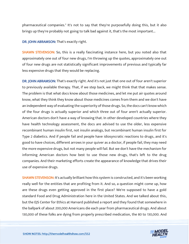pharmaceutical companies." It's not to say that they're purposefully doing this, but it also brings up they're probably not going to talk bad against it, that's the most important...

DR. JOHN ABRAMSON: That's exactly right.

**SHAWN STEVENSON:** So, this is a really fascinating instance here, but you noted also that approximately one out of four new drugs, I'm throwing up the quotes, approximately one out of four new drugs are not statistically significant improvements of previous and typically far less expensive drugs that they would be replacing.

DR. JOHN ABRAMSON: That's exactly right. And it's not just that one out of four aren't superior to previously available therapy. That, if we step back, we might think that that makes sense. The problem is that what docs know about those medicines, and let me put air quotes around know, what they think they know about those medicines comes from them and we don't have an independent way of evaluating the superiority of those drugs. So, the docs can't know which of the four drugs is actually superior and which three out of four aren't actually superior. American doctors don't have a way of knowing that. In other developed countries where they have health technology assessment, the docs are advised to use the older, less expensive recombinant human insulin first, not insulin analogs, but recombinant human insulin first for Type 2 diabetics. And if people fail and people have idiosyncratic reactions to drugs, and it's good to have choices, different arrows in your quiver as a doctor, if people fail, they may need the more expensive drugs, but not many people will fail. But we don't have the mechanism for informing American doctors how best to use those new drugs, that's left to the drug companies. And their marketing efforts create the appearance of knowledge that drives their use of expensive drugs.

**SHAWN STEVENSON:** It's actually brilliant how this system is constructed, and it's been working really well for the entities that are profiting from it. And so, a question might come up, how are these drugs even getting approved in the first place? We're supposed to have a gold standard Food and Drug Administration here in the United States. And we talked about this, but the EJS Center for Ethics at Harvard published a report and they found that somewhere in the ballpark of about 200,000 Americans die each year from pharmaceutical drugs. And about 130,000 of these folks are dying from properly prescribed medication, the 80 to 130,000. And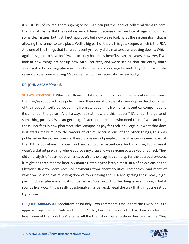it's just like, of course, there's going to be... We can put the label of collateral damage here, that's what that is. But the reality is very different because when we look at, again, Vioxx had some clear issues, but it still got approved, but now we're looking at the system itself that is allowing this funnel to take place. Well, a big part of that is this gatekeeper, which is the FDA. And one of the things that I shared recently; I really did a masterclass breaking down... Which again, it's good to have an FDA. It's actually had many benefits over the years. However, if we look at how things are set up now with user fees, and we're seeing that the entity that's supposed to be policing pharmaceutical companies is now largely funded by... Their scientific review budget, we're talking 60 plus percent of their scientific review budget...

#### DR. JOHN ABRAMSON: 61%

**SHAWN STEVENSON:** Which is billions of dollars, is coming from pharmaceutical companies that they're supposed to be policing. And their overall budget, it's knocking on the door of half of their budget itself, it's not coming from us, it's coming from pharmaceutical companies and it's all under the guise... And I always look at, how did this happen? It's under the guise of something positive. We can get drugs faster out to people who need them if we can bring these user fees in how pharmaceutical companies pay for their privilege, but what that does is it starts really muddy the waters of ethics, because one of the other things, this was published in the journal Science, they did a review of people on the Physician Review Board at the FDA to look at any financial ties they had to pharmaceuticals. And what they found was it wasn't a blatant pre-thing where approve my drug and we're going to give you this check. They did an analysis of post-hoc payments, so after the drug has come up for the approval process, it might be three months later, six months later, a year later, almost 40% of physicians on the Physician Review Board received payments from pharmaceutical companies. And many of which we've seen this revolving door of folks leaving the FDA and getting these really highpaying jobs at pharmaceutical companies so. So again... And the thing is, even though that it sounds like, wow, this is really questionable, it's perfectly legal the way that things are set up right now.

DR. JOHN ABRAMSON: Absolutely, absolutely. Two comments. One is that the FDA's job is to approve drugs that are "safe and effective". They have to be more effective than placebo in at least some of the trials they've done. All the trials don't have to show they're effective. They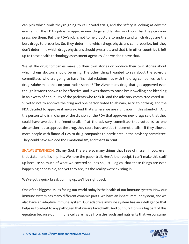can pick which trials they're going to call pivotal trials, and the safety is looking at adverse events. But the FDA's job is to approve new drugs and let doctors know that they can now prescribe them. But the FDA's job is not to help doctors to understand which drugs are the best drugs to prescribe. So, they determine which drugs physicians can prescribe, but they don't determine which drugs physicians should prescribe, and that is in other countries is left up to these health technology assessment agencies. And we don't have that.

We let the drug companies make up their own stories or produce their own stories about which drugs doctors should be using. The other thing I wanted to say about the advisory committees, who are going to have financial relationships with the drug companies, so the drug Aduhelm, is that on your radar screen? The Alzheimer's drug that got approved even though it wasn't shown to be effective, and it was shown to cause brain swelling and bleeding in an excess of about 33% of the patients who took it. And the advisory committee voted 10... 10 voted not to approve the drug and one person voted to abstain, so 10 to nothing, and the FDA decided to approve it anyway. And that's where we are right now in this stand-off. And the person who is in charge of the division of the FDA that approves new drugs said that they could have avoided the "emotionalism" at the advisory committee that voted 10 to one abstention not to approve the drug, they could have avoided that emotionalism if they allowed more people with financial ties to drug companies to participate in the advisory committee. They could have avoided the emotionalism, and that's in print.

**SHAWN STEVENSON:** Oh, my God. There are so many things that I see of myself in you, even that statement, it's in print. We have the paper trail. Here's the receipt. I can't make this stuff up because so much of what we covered sounds so just illogical that these things are even happening or possible, and yet they are, it's the reality we're existing in.

We've got a quick break coming up, we'll be right back.

One of the biggest issues facing our world today is the health of our immune system. Now our immune system has many different dynamic parts. We have an innate immune system, and we also have an adaptive immune system. Our adaptive immune system has an intelligence that helps us to adapt to any pathogen that we are faced with. And our nutrition is a big part of this equation because our immune cells are made from the foods and nutrients that we consume.

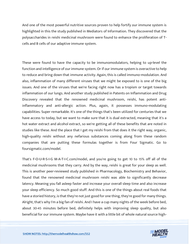And one of the most powerful nutritive sources proven to help fortify our immune system is highlighted in this the study published in Mediators of Information. They discovered that the polysaccharides in reishi medicinal mushroom were found to enhance the proliferation of Tcells and B cells of our adaptive immune system.

These were found to have the capacity to be immunomodulators, helping to up-level the function and intelligence of our immune system. Or if our immune system is overactive to help to reduce and bring down that immune activity. Again, this is called immuno-modulation. And also, inflammation of many different viruses that we might be exposed to is one of the big issues. And one of the viruses that we're facing right now has a tropism or target towards inflammation of our lungs. And another study published in Patents on Inflammation and Drug Discovery revealed that the renowned medicinal mushroom, reishi, has potent antiinflammatory and anti-allergic action. Plus, again, it possesses immuno-modulating capabilities. Super remarkable. It's one of the things that's been utilized for centuries that we have access to today, but we want to make sure that it is dual extracted, meaning that it's a hot water extract and alcohol extract, so we're getting all of these benefits that are noted in studies like these. And the place that I get my reishi from that does it the right way, organic, high-quality reishi without any nefarious substances coming along from these random companies that are putting these formulas together is from Four Sigmatic. Go to foursigmatic.com/model.

That's F-O-U-R-S-I-G M-A-T-I-C.com/model, and you're going to get 10 to 15% off all of the medicinal mushrooms that they carry. And by the way, reishi is great for your sleep as well. This is another peer-reviewed study published in Pharmacology, Biochemistry and Behavior, found that the renowned medicinal mushroom reishi was able to significantly decrease latency. Meaning you fall asleep faster and increase your overall sleep time and also increase your sleep efficiency. So much good stuff. And this is one of the things about real foods that have a storied history, is that they're not just good for one thing, they're good for many things. Alright, that's why I'm a big fan of reishi. And I have a cup many nights of the week before bed, about 30-45 minutes before bed, definitely helps with improving sleep quality, but also beneficial for our immune system. Maybe have it with a little bit of whole natural source high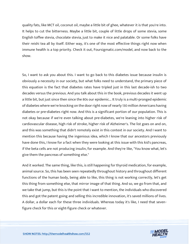quality fats, like MCT oil, coconut oil, maybe a little bit of ghee, whatever it is that you're into. It helps to cut the bitterness. Maybe a little bit, couple of little drops of some stevia, some English toffee stevia, chocolate stevia, just to make it nice and palatable. Or some folks have their reishi tea all by itself. Either way, it's one of the most effective things right now when immune health is a top priority. Check it out, Foursigmatic.com/model, and now back to the show.

So, I want to ask you about this. I want to go back to this diabetes issue because insulin is obviously a necessity in our society, but what folks need to understand, the primary piece of this equation is the fact that diabetes rates have tripled just in this last decade-ish to two decades versus the previous. And you talk about this in the book, previous decades it went up a little bit, but just since then since the 80s our epidemic... It truly is a multi-pronged epidemic of diabetes where we're knocking on the door right now of nearly 130 million Americans having diabetes or pre-diabetes right now. And this is a significant portion of our population. This is not okay because if we're even talking about pre-diabetes, we're leaning into higher risk of cardiovascular disease, high risk of stroke, higher risk of Alzheimer's. The list goes on and on, and this was something that didn't remotely exist in this context in our society. And I want to mention this because having the ingenious idea, which I know that our ancestors previously have done this, I know for a fact when they were looking at this issue with this kid's pancreas, if the beta cells are not producing insulin, for example. And they're like, "You know what, let's give them the pancreas of something else."

And it worked. The same thing, like this, is still happening for thyroid medication, for example, animal source. So, this has been seen repeatedly throughout history and throughout different functions of the human body, being able to like, this thing is not working correctly, let's get this thing from something else, that mirror image of that thing. And so, we go from that, and we take that jump, but this is the point that I want to mention, the individuals who discovered this and got the patent going and selling this incredible innovation, it's saved millions of lives. A dollar, a dollar each for these three individuals. Whereas today it's like, I need that sevenfigure check for this or eight-figure check or whatever.

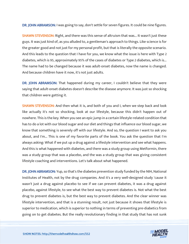DR. JOHN ABRAMSON: I was going to say, don't settle for seven figures. It could be nine figures.

SHAWN STEVENSON: Right, and there was this sense of altruism that was... It wasn't just these guys. It was just kind of, as you alluded to, a gentleman's approach to things. Like science is for the greater good and not just for my personal profit, but that is literally the opposite scenario. And this leads to the question that I have for you, we know what the issue is here with Type 2 diabetes, which is 95, approximately 95% of the cases of diabetes or Type 2 diabetes, which is... The name had to be changed because it was adult-onset diabetes, now the name is changed. And because children have it now, it's not just adults.

DR. JOHN ABRAMSON: That happened during my career, I couldn't believe that they were saying that adult-onset diabetes doesn't describe the disease anymore. It was just so shocking that children were getting it.

**SHAWN STEVENSON:** And then what it is, and both of you and I, when we step back and look like actually it's not so shocking, look at our lifestyle, because this didn't happen out of nowhere. This is the key. When you see an epic jump in a certain lifestyle-related condition that has to do a lot with our blood sugar and our diet and things that influence our blood sugar, we know that something is severely off with our lifestyle. And so, the question I want to ask you about, and I'm... This is one of my favorite parts of the book. You ask the question that I'm always asking: What if we put up a drug against a lifestyle intervention and see what happens. And this is what happened with diabetes, and there was a study group using Metformin, there was a study group that was a placebo, and the was a study group that was giving consistent lifestyle coaching and interventions. Let's talk about what happened.

DR. JOHN ABRAMSON: Yup, so that's the diabetes prevention study funded by the NIH, National Institutes of Health, not by the drug companies. And it's a very well-designed study 'cause it wasn't just a drug against placebo to see if we can prevent diabetes, it was a drug against placebo, against lifestyle, to see what the best way to prevent diabetes is. Not what the best drug to prevent diabetes is, but the best way to prevent diabetes. And the clear winner was lifestyle intervention, and that is a stunning result, not just because it shows that lifestyle is superior to medication, which is superior to nothing in terms of preventing pre-diabetics from going on to get diabetes. But the really revolutionary finding in that study that has not sunk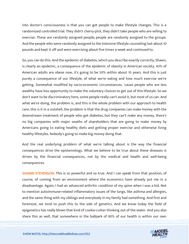into doctor's consciousness is that you can get people to make lifestyle changes. This is a randomized controlled trial. They didn't cherry-pick, they didn't take people who are willing to exercise. These are randomly assigned people; people are randomly assigned to the groups. And the people who were randomly assigned to the Intensive lifestyle counseling lost about 10 pounds and kept it off and were exercising about five times a week and continued to.

So, you can do this. And the epidemic of diabetes, which you describe exactly correctly, Shawn, is clearly an epidemic, a consequence of the epidemic of obesity in American society. 40% of American adults are obese now, it's going to be 50% within about 10 years. And this is just purely a consequence of our lifestyle, of what we're eating and how much exercise we're getting. Somewhat modified by socio-economic circumstances, 'cause people who are less wealthy have less opportunity to make the voluntary choices to get out of this lifestyle. So we don't want to be discriminatory here, some people really can't avoid it, but most of us can. And what we're doing, the problem is, and this is the whole problem with our approach to health care, this is it in a nutshell, the problem is that the drug companies can make money with the downstream treatment of people who get diabetes, but they can't make any money, there's no big companies with major swaths of shareholders that are going to make money by Americans going to eating healthy diets and getting proper exercise and otherwise living healthy lifestyles. Nobody's going to make big money doing that.

And the real underlying problem of what we're talking about is the way the financial consequences drive the epistemology. What we believe to be true about these diseases is driven by the financial consequences, not by the medical and health and well-being consequences.

SHAWN STEVENSON: This is so powerful and so true. And I can speak from that position, of course, of coming from an environment where the economics have already put me in a disadvantage. Again, I had an advanced arthritic condition of my spine when I was a kid. Not to mention autoimmune-related inflammatory issues of the lungs, like asthma and allergies, and the same thing with my siblings and everybody in my family had something. And first and foremost, we tend to push this to the side of genetics. And we know today the field of epigenetics has really blown that kind of cookie-cutter thinking out of the water. And you also share this as well, that somewhere in the ballpark of 80% of our health is within our own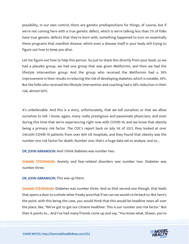possibility, in our own control, there are genetic predispositions for things, of course, but if we're not coming here with a true genetic defect, which is we're talking less than 5% of folks have true genetic defects that they're born with, something happened to turn on essentially these programs that manifest disease, which even a disease itself is your body still trying to figure out how to keep you alive.

Let me figure out how to help this person. So just to share this directly from your book, so we had a placebo group, we had one group that was given Metformin, and then we had the lifestyle intervention group. And the group who received the Metformin had a 39% improvement in their results in reducing the risk of developing diabetes, which is notable, 39%. But the folks who received the lifestyle intervention and coaching had a 58% reduction in their risk, almost 60%.

It's unbelievable. And this is a story, unfortunately, that we tell ourselves or that we allow ourselves to tell. I know, again, many really prestigious and passionate physicians, and even during this time that we're experiencing right now with COVID-19, and we know that obesity being a primary risk factor. The CDC's report back on July 1st of 2021, they looked at over 540,000 COVID-19 patients from over 800 US hospitals, and they found that obesity was the number one risk factor for death. Number one, that's a huge data set to analyze, and so...

DR. JOHN ABRAMSON: And I think diabetes was number two.

SHAWN STEVENSON: Anxiety and fear-related disorders was number two. Diabetes was number three.

DR. JOHN ABRAMSON: This was up there.

SHAWN STEVENSON: Diabetes was number three. And so that second one though, that leads that opens a door to a whole other freaky area that if we can we would circle back to. But here's the point, with this being the case, you would think that this would be headline news all over the place, like, "We've got to get our citizens healthier. This is our number one risk factor." But then it points to... And I've had many friends come up and say, "You know what, Shawn, you're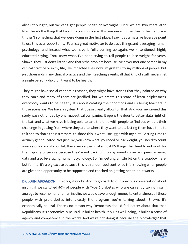absolutely right, but we can't get people healthier overnight." Here we are two years later. Now, here's the thing that I want to communicate. This was never in the plan in the first place, this isn't something that we were doing in the first place. I saw it as a massive leverage point to use this as an opportunity. Fear is a great motivator to do basic things and leveraging human psychology, and instead what we have is folks coming up again, well-intentioned, highly educated saying, "You know what, I've been trying to tell people to lose weight for years, Shawn, they just don't listen." And that's the problem because I've never met one person in my clinical practice or in my life, I've impacted lives, now I'm grateful to say millions of people, but just thousands in my clinical practice and then teaching events, all that kind of stuff, never met a single person who didn't want to be healthy.

They might have social-economic reasons, they might have stories that they painted on why they can't and many of them are justified, but we create this state of learn helplessness, everybody wants to be healthy. It's about creating the conditions and us being teachers in those scenarios. We have a system that doesn't really allow for that. And you mentioned this study was not funded by pharmaceutical companies. It opens the door to better data right off the bat, and what we have is being able to take the time with people to find out what is their challenge in getting from where they are to where they want to be, letting them have time to talk and to share their stressors, to share this is what I struggle with my diet. Getting time to actually get educated. Not just like, you know what, you need to lose weight, you need to count your calories or cut your fat, these very superficial almost BS things that tend to not work for the majority of people because they're not backing it up by sound consistent peer-reviewed data and also leveraging human psychology. So, I'm getting a little bit on the soapbox here, but for me, it's a big excuse because this is a randomized controlled trial showing when people are given the opportunity to be supported and coached on getting healthier, it works.

DR. JOHN ABRAMSON: It works, it works. And to go back to our previous conversation about insulin, if we switched 90% of people with Type 2 diabetes who are currently taking insulin analogs to recombinant human insulin, we would save enough money to enter almost all those people with pre-diabetes into exactly the program you're talking about, Shawn. It's economically neutral. There's no reason why Democrats should feel better about that than Republicans. It's economically neutral. It builds health, it builds well-being, it builds a sense of [agency and competence in the world. And we](https://themodelhealthshow.com/podcasts/dr-john-abramson/)'[re not doing it because the "knowledge" that](https://themodelhealthshow.com/podcasts/dr-john-abramson/) 

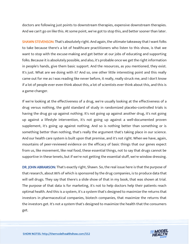doctors are following just points to downstream therapies, expensive downstream therapies. And we can't go on like this. At some point, we've got to stop this, and better sooner than later.

**SHAWN STEVENSON:** That's absolutely right. And again, the ultimate takeaway that I want folks to take because there's a lot of healthcare practitioners who listen to this show, is that we want to stop with the excuse-making and get better at our jobs of educating and supporting folks. Because it is absolutely possible, and also, it's probable once we get the right information in people's hands, give them basic support. And the resources, as you mentioned, they exist. It's just. What are we doing with it? And so, one other little interesting point and this really came out for me as I was reading like never before, it really, really struck me, and I don't know if a lot of people ever even think about this, a lot of scientists ever think about this, and this is a game-changer.

If we're looking at the effectiveness of a drug, we're usually looking at the effectiveness of a drug versus nothing, the gold standard of study in randomized placebo-controlled trials is having the drug go up against nothing. It's not going up against another drug, it's not going up against a lifestyle intervention, it's not going up against a well-documented proven supplement, it's going up against nothing. And so is nothing better than something or is something better than nothing, that's really the argument that's taking place in our science. And our health care system is built upon that premise, and it's not right. When we have, again, mountains of peer-reviewed evidence on the efficacy of basic things that our genes expect from us, like movement, like real food, these essential things, not to say that drugs cannot be supportive in these tenets, but if we're not getting the essential stuff, we're window dressing.

DR. JOHN ABRAMSON: That's exactly right, Shawn. So, the real issue here is that the purpose of that research, about 86% of which is sponsored by the drug companies, is to produce data that will sell drugs. They say that there's a slide show of that in my book, that was shown at trial. The purpose of that data is for marketing, it's not to help doctors help their patients reach optimal health. And this is a system, it's a system that's designed to maximize the returns that investors in pharmaceutical companies, biotech companies, that maximize the returns that the investors get. It's not a system that's designed to maximize the health that the consumers get.

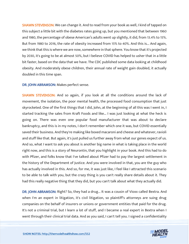**SHAWN STEVENSON:** We can change it. And to read from your book as well, I kind of tapped on this subject a little bit with the diabetes rates going up, but you mentioned that between 1960 and 1980, the percentage of obese American's adults went up slightly, it did, from 13.4% to 15%. But from 1980 to 2016, the rate of obesity increased from 15% to 40%. And this is... And again, we think that this is where we are now, somewhere in that sphere. You know that it's projected by 2030, it's going to be at almost 50%, but I believe COVID has helped to usher that in a little bit faster, based on the data that we have. The CDC published some data looking at childhood obesity. And moderately obese children, their annual rate of weight gain doubled, it actually doubled in this time span.

DR. JOHN ABRAMSON: Makes perfect sense.

SHAWN STEVENSON: And so again, if you look at all the conditions around the lack of movement, the isolation, the poor mental health, the processed food consumption that just skyrocketed. One of the first things that I did, John, at the beginning of all this was I went in, I started tracking the sales from Kraft Foods and like... I was just looking at what the heck is going on. There was even one popular food manufacturer that was about to declare bankruptcy, and this is in my notes, I don't remember which one it was, but COVID essentially saved their business. And they're making like boxed macaroni and cheese and whatever, ravioli and stuff like that. But again, it's just pulled us further away from what our genes expect of us. And so, what I want to ask you about is another big name in what is taking place in the world right now, and this is a story of Neurontin, that you highlight in your book. And this had to do with Pfizer, and folks know that I've talked about Pfizer had to pay the largest settlement in the history of the Department of Justice. And you were involved in that, you are the guy who has actually involved in this. And so, for me, it was just like, I feel like I attracted this scenario to be able to talk with you, but the crazy thing is you can't really share details about it. They had this really negative thing that they did, but you can't talk about what they actually did.

DR. JOHN ABRAMSON: Right? So, they had a drug... It was a cousin of Vioxx called Bextra. And when I'm an expert in litigation, it's civil litigation, so plaintiff's attorneys are suing drug companies on the behalf of insurers or unions or government entities that paid for the drug. It's not a criminal trial, but I learn a lot of stuff, and I became a real expert in Bextra when I went through their clinical trial data. And as you said, I can't tell you. I signed a confidentiality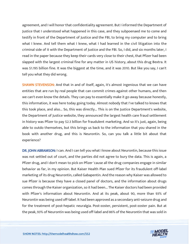agreement, and I will honor that confidentiality agreement. But I informed the Department of Justice that I understood what happened in this case, and they subpoenaed me to come and testify in front of the Department of Justice and the FBI, to bring my computer and to bring what I knew. And tell them what I knew, what I had learned in the civil litigation into the criminal side of it with the Department of Justice and the FBI. So, I did, and six months later, I read in the paper because they keep their cards very close to their chest, that Pfizer had been slapped with the largest criminal fine for any matter in US history, about this drug Bextra. It was \$1.195 billion fine. It was the biggest at the time, and it was 2010. But like you say, I can't tell you what they did wrong.

SHAWN STEVENSON: And that in and of itself, again, it's almost ingenious that we can have entities that are run by real people that can commit crimes against other humans, and then we can't even know the details. They can pay to essentially make it go away because honestly, this information, it was here today going today. Almost nobody that I've talked to knows that this took place, and also... So, this was directly... This is on the Justice Department's website, the Department of Justice website, they announced the largest health care fraud settlement in history was Pfizer to pay \$2.3 billion for fraudulent marketing. And so it's just, again, being able to outdo themselves, but this brings us back to the information that you shared in the book with another drug, and this is Neurontin. So, can you talk a little bit about that experience?

DR. JOHN ABRAMSON: I can. And I can tell you what I know about Neurontin, because this issue was not settled out of court, and the parties did not agree to bury the data. This is again, a Pfizer drug, and I don't mean to pick on Pfizer 'cause all the drug companies engage in similar behavior as far, in my opinion. But Kaiser Health Plan sued Pfizer for its fraudulent off-label marketing of its drug Neurontin, called Gabapentin. And the reason why Kaiser was allowed to sue Pfizer is because they have a closed panel of doctors, and the information about drugs comes through the Kaiser organization, so it had been... The Kaiser doctors had been provided with Pfizer's information about Neurontin. And at its peak, about 90, more than 93% of Neurontin was being used off-label. It had been approved as a secondary anti-seizure drug and for the treatment of post-hepatic neuralgia. Post-zoster, persistent, post-zoster pain. But at the peak, 93% of Neurontin was being used off-label and 86% of the Neurontin that was sold in

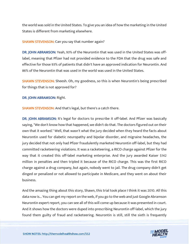the world was sold in the United States. To give you an idea of how the marketing in the United States is different from marketing elsewhere.

#### SHAWN STEVENSON: Can you say that number again?

DR. JOHN ABRAMSON: Yeah, 93% of the Neurontin that was used in the United States was offlabel, meaning that Pfizer had not provided evidence to the FDA that the drug was safe and effective for those 93% of patients that didn't have an approved indication for Neurontin. And 86% of the Neurontin that was used in the world was used in the United States.

SHAWN STEVENSON: Sheesh. Oh, my goodness, so this is when Neurontin's being prescribed for things that is not approved for?

DR. JOHN ABRAMSON: Right.

**SHAWN STEVENSON:** And that's legal, but there's a catch there.

DR. JOHN ABRAMSON: It's legal for doctors to prescribe it off-label. And Pfizer was basically saying, "We don't know how that happened, we didn't do that. The doctors figured out on their own that it worked." Well, that wasn't what the jury decided when they heard the facts about Neurontin used for diabetic neuropathy and bipolar disorder, and migraine headaches, the jury decided that not only had Pfizer fraudulently marketed Neurontin off-label, but they had committed racketeering violations. It was a racketeering, a RICO charge against Pfizer for the way that it created this off-label marketing enterprise. And the jury awarded Kaiser \$142 million in penalties and then tripled it because of the RICO charge. This was the first RICO charge against a drug company, but again, nobody went to jail. The drug company didn't get dinged or penalized or not allowed to participate in Medicare, and they went on about their business.

And the amazing thing about this story, Shawn, this trial took place I think it was 2010. All this data now is... You can get my report on the web, if you go to the web and just Google Abramson Neurontin expert report, you can see all of this will come up because it was presented in court. And it shows how the doctors were duped into prescribing Neurontin off-label, which the jury found them guilty of fraud and racketeering. Neurontin is still, still the sixth is frequently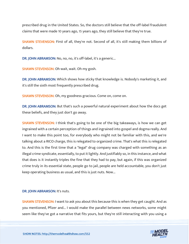prescribed drug in the United States. So, the doctors still believe that the off-label fraudulent claims that were made 10 years ago, 15 years ago, they still believe that they're true.

SHAWN STEVENSON: First of all, they're not. Second of all, it's still making them billions of dollars.

DR. JOHN ABRAMSON: No, no, no, it's off-label, it's a generic...

SHAWN STEVENSON: Oh wait, wait. Oh my gosh.

DR. JOHN ABRAMSON: Which shows how sticky that knowledge is. Nobody's marketing it, and it's still the sixth most frequently prescribed drug.

SHAWN STEVENSON: Oh, my goodness gracious. Come on, come on.

DR. JOHN ABRAMSON: But that's such a powerful natural experiment about how the docs get these beliefs, and they just don't go away.

**SHAWN STEVENSON:** I think that's going to be one of the big takeaways, is how we can get ingrained with a certain perception of things and ingrained into gospel and dogma really. And I want to make this point too, for everybody who might not be familiar with this, and we're talking about a RICO charge, this is relegated to organized crime. That's what this is relegated to. And this is the first time that a "legal" drug company was charged with something as an illegal crime syndicate, essentially, to put it lightly. And justifiably so, in this instance, and what that does is it instantly triples the fine that they had to pay, but again, if this was organized crime truly in its essential state, people go to jail, people are held accountable, you don't just keep operating business as usual, and this is just nuts. Now...

#### DR. JOHN ABRAMSON: It's nuts.

**SHAWN STEVENSON: I** want to ask you about this because this is when they get caught. And as you mentioned, Pfizer and... I would make the parallel between news networks, some might seem like they've got a narrative that fits yours, but they're still interacting with you using a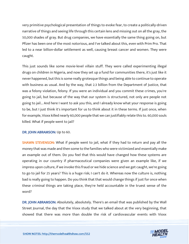very primitive psychological presentation of things to evoke fear, to create a politically-driven narrative of things and seeing life through this certain lens and missing out on all the gray, the 50,000 shades of gray. But drug companies, we have essentially the same thing going on, but Pfizer has been one of the most notorious, and I've talked about this, even with Prim Pro. That led to a near billion-dollar settlement as well, causing breast cancer and women. They were caught.

This just sounds like some movie-level villain stuff. They were called experimenting illegal drugs on children in Nigeria, and now they set up a fund for communities there, it's just like it never happened, but this is some really grotesque things and being able to continue to operate with business as usual. And by the way, that 2.3 billion from the Department of Justice, that was a felony violation, felony. If you were an individual and you commit these crimes, you're going to jail, but because of the way that our system is structured, not only are people not going to jail... And here I want to ask you this, and I already know what your response is going to be, but I just think it's important for us to think about it in these terms. If just once, when for example, Vioxx killed nearly 60,000 people that we can justifiably relate this to. 60,000 souls killed. What if people went to jail?

#### DR. JOHN ABRAMSON: Up to 60.

SHAWN STEVENSON: What if people went to jail, what if they had to return and pay all the money that was made and then some to the families who were victimized and essentially make an example out of them. Do you feel that this would have changed how these systems are operating in our country if pharmaceutical companies were given an example like, if we impress upon culture, if we invoke this fraud or we hide science and we get caught, we're going to go to jail for 25 years? This is a huge risk; I can't do it. Whereas now the culture is, nothing bad is really going to happen. Do you think that that would change things if just for once when these criminal things are taking place, they're held accountable in the truest sense of the word?

DR. JOHN ABRAMSON: Absolutely, absolutely. There's an email that was published by the Wall Street Journal, the day that the Vioxx study that we talked about at the very beginning, that showed that there was more than double the risk of cardiovascular events with Vioxx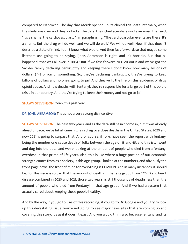compared to Naproxen. The day that Merck opened up its clinical trial data internally, when the study was over and they looked at the data, their chief scientists wrote an email that said, "It's a shame, the cardiovascular... " I'm paraphrasing, "The cardiovascular events are there. It's a shame. But the drug will do well, and we will do well." We will do well. Now, if that doesn't describe a state of mind, I don't know what would. And then fast forward, so that maybe some listeners are going to be saying, "Jeez, Abramson is right, and it's horrible. But that all happened, that was all over in 2004." But if we fast-forward to OxyContin and we've got the Sackler family declaring bankruptcy and keeping there I don't know how many billions of dollars. \$4-8 billion or something. So, they're declaring bankruptcy, they're trying to keep billions of dollars and no one's going to jail. And they've lit the fire on this epidemic of drug opioid abuse. And now deaths with fentanyl, they're responsible for a large part of this opioid crisis in our country. And they're trying to keep their money and not go to jail.

SHAWN STEVENSON: Yeah, this past year...

DR. JOHN ABRAMSON: That's not a very strong disincentive.

SHAWN STEVENSON: The past two years, and as the data still hasn't come in, but it was already ahead of pace, we've hit all-time highs in drug overdose deaths in the United States. 2020 and now 2021 is going to surpass that. And of course, if folks have seen the report with fentanyl being the number one cause death of folks between the age of 18 and 45, and this is... I went and dug into the data, and we're looking at the amount of people who died from a fentanyl overdose in that prime of life years. Also, this is like where a huge portion of our economic strength comes from as a society, is this age group. I looked at the numbers, and obviously the front-page news, the front of mind for everything is COVID 19. And in many instances, it should be. But this issue is so bad that the amount of deaths in that age group from COVID and heart disease combined in 2020 and 2021, those two years, is still thousands of deaths less than the amount of people who died from Fentanyl. In that age group. And if we had a system that actually cared about keeping these people healthy...

And by the way, if you go to... As of this recording, if you go to Dr. Google and you try to look up this devastating issue, you're not going to see major news sites that are coming up and covering this story. It's as if it doesn't exist. And you would think also because fentanyl and its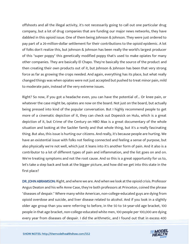offshoots and all the illegal activity, it's not necessarily going to call out one particular drug company, but a lot of drug companies that are funding our major news networks, they have dabbled in this opioid issue. One of them being Johnson & Johnson. They were just ordered to pay part of a 26-million-dollar settlement for their contributions to the opioid epidemic. A lot of folks don't realize this, but Johnson & Johnson has been really the world's largest producer of this "super poppy" this genetically modified poppy that's used to make opiates for many other companies. They are basically El Chapo. They're basically the source of the product and then creating their own products out of it, but Johnson & Johnson has been that very strong force as far as growing the crops needed. And again, everything has its place, but what really changed things was when opiates were not just accepted but pushed to treat minor pain, mild to moderate pain, instead of the very extreme issues.

Right? So now, if you got a headache even, you can have the potential of... Or knee pain, or whatever the case might be, opiates are now on the board. Not just on the board, but actually being pressed into kind of the popular conversation. But I highly recommend people to get more of a cinematic depiction of it, they can check out Dopesick on Hulu, which is a great depiction of it, but Crime of the Century on HBO Max is a great documentary of the whole situation and looking at the Sackler family and that whole thing, but it's a really fascinating thing. But also, this issue is hurting our citizens. And really, it's because people are hurting. We have an existential issue with folks not feeling connected and feeling a sense of purpose, but also physically we're not well, which just it leans into it's another form of pain. And it also is a contributor to a lot of different types of pain and inflammation, and the list goes on and on. We're treating symptoms and not the root cause. And so this is a great opportunity for us to, let's take a step back and look at the bigger picture, and how did we get into this state in the first place?

DR. JOHN ABRAMSON: Right, and where we are. And when we look at the opioid crisis. Professor Angus Deaton and his wife Anne Case, they're both professors at Princeton, coined the phrase "diseases of despair." Where many white American, non-college-educated guys are dying from opioid overdose and suicide, and liver disease related to alcohol. And if you look in a slightly older age group than you were referring to before, in the 50 to 54-year-old age bracket, 100 people in that age bracket, non-college-educated white men, 100 people per 100,000 are dying [every year from diseases of despair. I did the arithmetic, and I found out that in excess 400](https://themodelhealthshow.com/podcasts/dr-john-abramson/) 

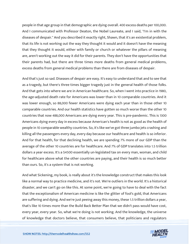people in that age group in that demographic are dying overall. 400 excess deaths per 100,000. And I communicated with Professor Deaton, the Nobel Laureate, and I said, "I'm in with the diseases of despair." And you described it exactly right, Shawn, that it's an existential problem, that its life is not working out the way they thought it would and it doesn't have the meaning that they thought it would, either with family or church or whatever the pillars of meaning are, aren't working out the way it did for their parents. They don't have the opportunities that their parents had, but there are three times more deaths from general medical problems, excess deaths from general medical problems than there are from diseases of despair.

And that's just so sad. Diseases of despair are easy. It's easy to understand that and to see that as a tragedy, but there's three times bigger tragedy just in the general health of those folks. And that gets into where we are in American healthcare. So, when I went into practice in 1980, the age-adjusted death rate for Americans was lower than in 10 comparable countries. And it was lower enough, so 88,000 fewer Americans were dying each year than in those other 10 comparable countries. And our health statistics have gotten so much worse than the other 10 countries that now 488,000 Americans are dying every year. This is pre-pandemic. This is 1300 Americans dying every day in excess because American's health is not as good as the health of people in 10 comparable wealthy countries. So, it's like we've got three jumbo jets crashing and killing all the passengers every day, every day because our healthcare and health is so inferior. And for that health, for that declining health, we are spending 7% more of our GDP than the average of the other 10 countries are for healthcare. And 7% of GDP translates into 1.5 trillion dollars a year excess. It's a \$4500 essentially un-legislated tax on every man, woman, and child for healthcare above what the other countries are paying, and their health is so much better than ours. So, it's a system that is not working.

And what Sickening, my book, is really about it's the knowledge construct that makes this look like a normal way to practice medicine, and it's not. We're outliers in the world. It's a historical disaster, and we can't go on like this. At some point, we're going to have to deal with the fact that the exceptionalism of American medicine is like the glitter of fool's gold, that Americans are suffering and dying. And we're just peeing away this money, these 1.5 trillion dollars a year, that's like 10 times more than the Build Back Better Plan that we didn't pass would have cost, every year, every year. So, what we're doing is not working. And the knowledge, the universe [of knowledge that doctors believe, that consumers believe, that politicians and regulators](https://themodelhealthshow.com/podcasts/dr-john-abramson/) 

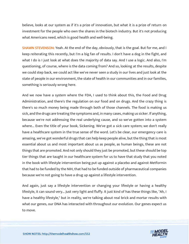believe, looks at our system as if it's a prize of innovation, but what it is a prize of return on investment for the people who own the shares in the biotech industry. But it's not producing what Americans need, which is good health and well-being.

SHAWN STEVENSON: Yeah. At the end of the day, obviously, that is the goal. But for me, and I keep reiterating this recently, but I'm a big fan of results. I don't have a dog in the fight, and what I do is I just look at what does the majority of data say. And I use a logic. And also, I'm questioning, of course, where is the data coming from? And so, looking at the results, despite we could step back, we could act like we've never seen a study in our lives and just look at the state of people in our environment, the state of health in our communities and in our families, something is seriously wrong here.

And we now have a system where the FDA, I used to think about this, the Food and Drug Administration, and there's the regulation on our food and on drugs. And the crazy thing is there's so much money being made through both of those channels. The food is making us sick, and the drugs are treating the symptoms and, in many cases, making us sicker. If anything, because we're not addressing the real underlying cause, and so we've gotten into a system where... Even the title of your book, Sickening. We've got a sick care system; we don't really have a healthcare system in the true sense of the word. Let's be clear, our emergency care is amazing, we've got wonderful drugs that can help keep people alive, but the thing that is most essential about us and most important about us as people, as human beings, these are not things that are promoted. And not only should they just be promoted, but these should be top tier things that are taught in our healthcare system for us to have that study that you noted in the book with lifestyle intervention being put up against a placebo and against Metformin that had to be funded by the NIH, that had to be funded outside of pharmaceutical companies because we're not going to have a drug up against a lifestyle intervention.

And again, just say a lifestyle intervention or changing your lifestyle or having a healthy lifestyle, it can sound very... Just very light and fluffy. It just kind of has these things like, "Ah, I have a healthy lifestyle," but in reality, we're talking about real brick and mortar results with what our genes, our DNA has interacted with throughout our evolution. Our genes expect us to move.

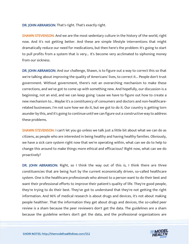DR. JOHN ABRAMSON: That's right. That's exactly right.

SHAWN STEVENSON: And we are the most sedentary culture in the history of the world, right now. And it's not getting better. And these are simple lifestyle interventions that might dramatically reduce our need for medications, but then here's the problem: It's going to start to pull profits from a system that is very... It's become very acclimated to siphoning money from our sickness.

DR. JOHN ABRAMSON: And our challenge, Shawn, is to figure out a way to correct this so that we're talking about improving the quality of Americans' lives, to correct it... People don't trust government. Without government, there's not an overarching mechanism to make these corrections, and we've got to come up with something new. And hopefully, our discussion is a beginning, not an end, and we can keep going 'cause we have to figure out how to create a new mechanism to... Maybe it's a constituency of consumers and doctors and non-healthcarerelated businesses. I'm not sure how we do it, but we got to do it. Our country is getting torn asunder by this, and it's going to continue until we can figure out a constructive way to address these problems.

SHAWN STEVENSON: I can't let you go unless we talk just a little bit about what we can do as citizens, as people who are interested in being healthy and having healthy families. Obviously, we have a sick care system right now that we're operating within, what can we do to help to change this around to make things more ethical and efficacious? Right now, what can we do proactively?

DR. JOHN ABRAMSON: Right, so I think the way out of this is, I think there are three constituencies that are being hurt by the current economically driven, so-called healthcare system. One is the healthcare professionals who almost to a person want to do their best and want their professional efforts to improve their patient's quality of life. They're good people, they're trying to do their best. They've got to understand that they're not getting the right information. And 96% of medical research is about drugs and devices, it's not about making people healthier. That the information they get about drugs and devices, the so-called peer review is a sham because the peer reviewers don't get the data. The guidelines are a sham because the guideline writers don't get the data, and the professional organizations are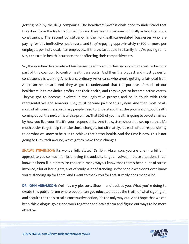getting paid by the drug companies. The healthcare professionals need to understand that they don't have the tools to do their job and they need to become politically active, that's one constituency. The second constituency is the non-healthcare-related businesses who are paying for this ineffective health care, and they're paying approximately \$4500 or more per employee, per individual, if an employee... If there's 2.6 people in a family, they're paying some \$12,000 extra in health insurance, that's affecting their competitiveness.

So, the non-healthcare-related businesses need to act in their economic interest to become part of this coalition to control health care costs. And then the biggest and most powerful constituency is working Americans, ordinary Americans, who aren't getting a fair deal from American healthcare. And they've got to understand that the purpose of much of our healthcare is to maximize profits, not their health, and they've got to become active voters. They've got to become involved in the legislative process and be in touch with their representatives and senators. They must become part of this system. And then most of all, most of all, consumers, ordinary people need to understand that the promise of good health coming out of the next pill is a false promise. That 80% of your health is going to be determined by how you live your life. It's your responsibility. And the system should be set up so that it's much easier to get help to make those changes, but ultimately, it's each of our responsibility to do what we know to be true to achieve that better health. And the time is now. This is not going to turn itself around, we've got to make these changes.

SHAWN STEVENSON: It's wonderfully stated. Dr. John Abramson, you are one in a billion. I appreciate you so much for just having the audacity to get involved in these situations that I know it's been like a pressure cooker in many ways. I know that there's been a lot of stress involved, a lot of late nights, a lot of study, a lot of standing up for people who don't even know you're standing up for them. And I want to thank you for that. It really does mean a lot.

DR. JOHN ABRAMSON: Well, it's my pleasure, Shawn, and back at you. What you're doing to create this public forum where people can get educated about the truth of what's going on and acquire the tools to take constructive action, it's the only way out. And I hope that we can keep this dialogue going and work together and brainstorm and figure out ways to be more effective.

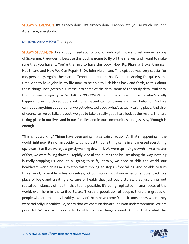SHAWN STEVENSON: It's already done. It's already done. I appreciate you so much. Dr. John Abramson, everybody.

#### DR. JOHN ABRAMSON: Thank you.

SHAWN STEVENSON: Everybody. I need you to run, not walk, right now and get yourself a copy of Sickening. Pre-order it, because this book is going to fly off the shelves, and I want to make sure that you have it. You're the first to have this book, How Big Pharma Broke American Healthcare and How We Can Repair It. Dr. John Abramson. This episode was very special for me, personally. Again, these are different data points that I've been sharing for quite some time. And to have John in my life now, to be able to kick ideas back and forth, to talk about these things, he's gotten a glimpse into some of the data, some of the study data, trial data, that the vast majority, we're talking 99.999999% of humans have not seen what's really happening behind closed doors with pharmaceutical companies and their behavior. And we cannot do anything about it until we get educated about what's actually taking place. And also, of course, as we've talked about, we got to take a really good hard look at the results that are taking place in our lives and in our families and in our communities, and just say, "Enough is enough."

"This is not working." Things have been going in a certain direction. All that's happening in the world right now, it's not an accident, it's not just this one thing came in and messed everything up. It wasn't as if we were just gently walking downhill. We were sprinting downhill. As a matter of fact, we were falling downhill rapidly. And all the bumps and bruises along the way, nothing is really stopping us. And it's all going to shift, literally, we need to shift the world, our healthcare world on its axis, to stop this tumbling, to stop us free falling. And be able to turn this around, to be able to heal ourselves, lick our wounds, dust ourselves off and get back to a place of logic and creating a culture of health that just out pictures, that just prints out repeated instances of health, that too is possible. It's being replicated in small sects of the world, even here in the United States. There's a population of people, there are groups of people who are radiantly healthy. Many of them have come from circumstances where they were radically unhealthy. So, to say that we can turn this around is an understatement. We are powerful. We are so powerful to be able to turn things around. And so that's what this